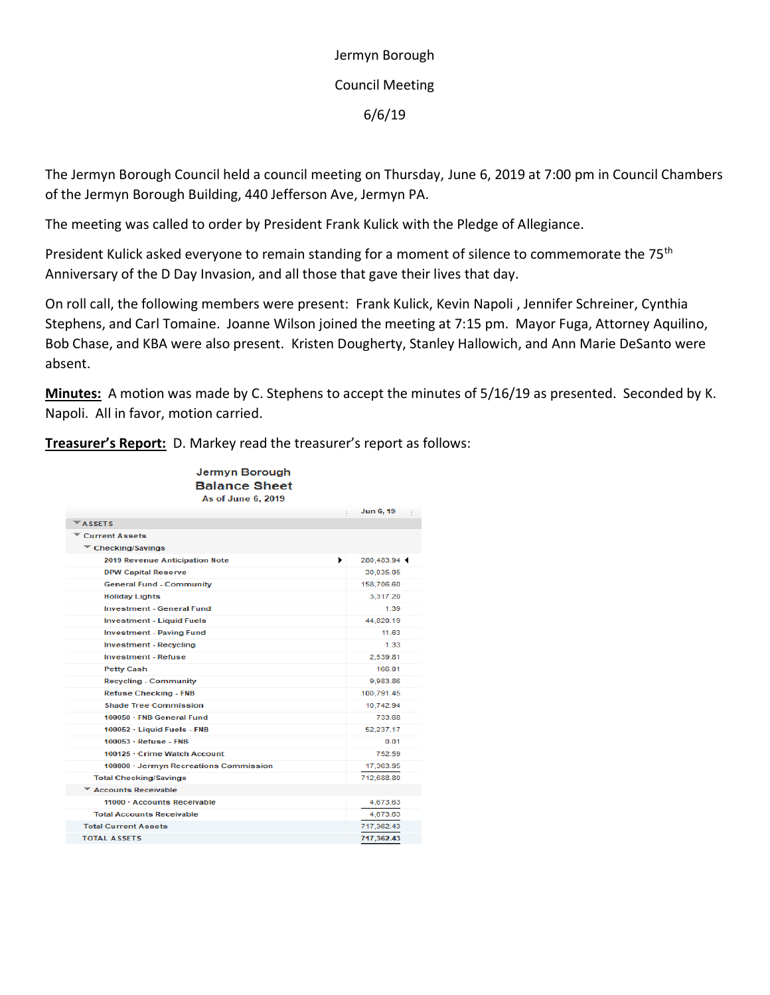Jermyn Borough Council Meeting 6/6/19

The Jermyn Borough Council held a council meeting on Thursday, June 6, 2019 at 7:00 pm in Council Chambers of the Jermyn Borough Building, 440 Jefferson Ave, Jermyn PA.

The meeting was called to order by President Frank Kulick with the Pledge of Allegiance.

President Kulick asked everyone to remain standing for a moment of silence to commemorate the 75<sup>th</sup> Anniversary of the D Day Invasion, and all those that gave their lives that day.

On roll call, the following members were present: Frank Kulick, Kevin Napoli , Jennifer Schreiner, Cynthia Stephens, and Carl Tomaine. Joanne Wilson joined the meeting at 7:15 pm. Mayor Fuga, Attorney Aquilino, Bob Chase, and KBA were also present. Kristen Dougherty, Stanley Hallowich, and Ann Marie DeSanto were absent.

**Minutes:** A motion was made by C. Stephens to accept the minutes of 5/16/19 as presented. Seconded by K. Napoli. All in favor, motion carried.

**Treasurer's Report:** D. Markey read the treasurer's report as follows:

| Jermyn Borough<br><b>Balance Sheet</b><br>As of June 6, 2019 |                |  |
|--------------------------------------------------------------|----------------|--|
|                                                              | Jun 6, 19<br>÷ |  |
| <b>ASSETS</b>                                                |                |  |
| Current Assets                                               |                |  |
| $\blacktriangledown$ Checking/Savings                        |                |  |
| ٠<br><b>2019 Revenue Anticipation Note</b>                   | 280,483.94     |  |
| <b>DPW Capital Reserve</b>                                   | 30,035.05      |  |
| <b>General Fund - Community</b>                              | 158,706.60     |  |
| <b>Holiday Lights</b>                                        | 3,317.20       |  |
| <b>Investment - General Fund</b>                             | 1.39           |  |
| <b>Investment - Liquid Fuels</b>                             | 44,820.19      |  |
| <b>Investment - Paving Fund</b>                              | 11.63          |  |
| <b>Investment - Recycling</b>                                | 1.33           |  |
| <b>Investment - Refuse</b>                                   | 2.539.81       |  |
| <b>Petty Cash</b>                                            | 166.01         |  |
| <b>Recycling - Community</b>                                 | 9,983.86       |  |
| <b>Refuse Checking - FNB</b>                                 | 100,791.45     |  |
| <b>Shade Tree Commission</b>                                 | 10,742.94      |  |
| 100050 · FNB General Fund                                    | 733.68         |  |
| 100052 · Liquid Fuels - FNB                                  | 52,237.17      |  |
| $100053 - Refuse - FNB$                                      | 0.01           |  |
| 100125 · Crime Watch Account                                 | 752.59         |  |
| 100800 · Jermyn Recreations Commission                       | 17,363.95      |  |
| <b>Total Checking/Savings</b>                                | 712,688.80     |  |
| <b>Accounts Receivable</b>                                   |                |  |
| 11000 · Accounts Receivable                                  | 4,673.63       |  |
| <b>Total Accounts Receivable</b>                             | 4,673.63       |  |
| <b>Total Current Assets</b>                                  | 717.362.43     |  |
| <b>TOTAL ASSETS</b>                                          | 717,362.43     |  |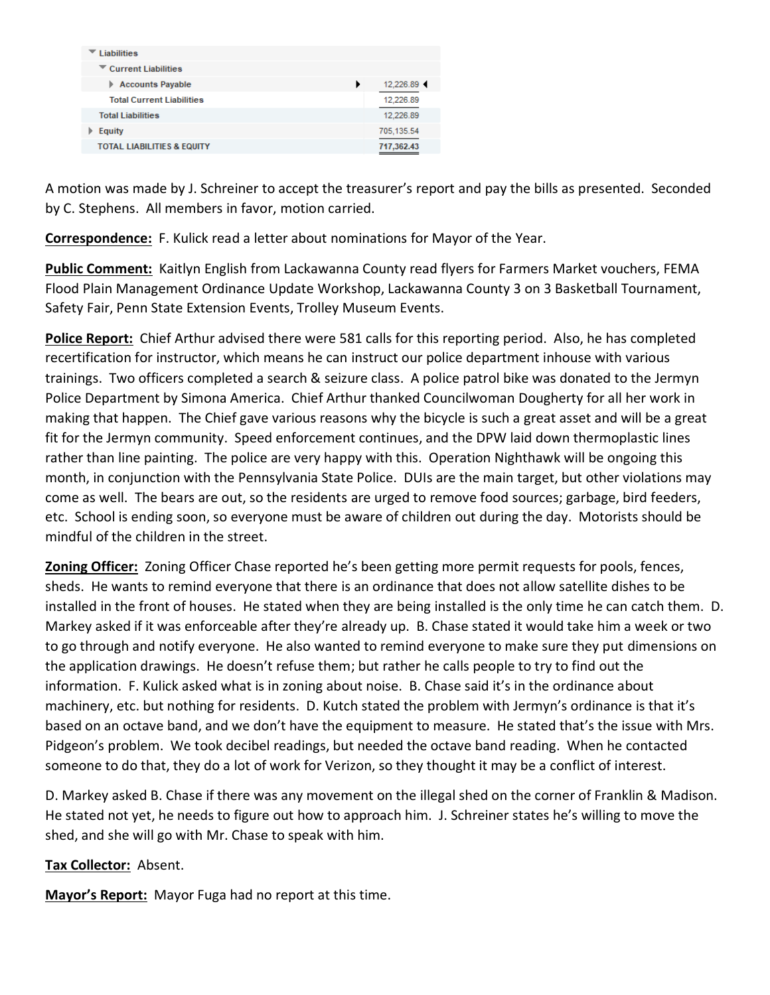| <b>Liabilities</b>                        |            |
|-------------------------------------------|------------|
| $\blacktriangleright$ Current Liabilities |            |
| <b>Accounts Payable</b><br>Þ.             | 12.226.89  |
| <b>Total Current Liabilities</b>          | 12.226.89  |
| <b>Total Liabilities</b>                  | 12.226.89  |
| <b>Equity</b>                             | 705.135.54 |
| <b>TOTAL LIABILITIES &amp; EQUITY</b>     | 717.362.43 |

A motion was made by J. Schreiner to accept the treasurer's report and pay the bills as presented. Seconded by C. Stephens. All members in favor, motion carried.

**Correspondence:** F. Kulick read a letter about nominations for Mayor of the Year.

**Public Comment:** Kaitlyn English from Lackawanna County read flyers for Farmers Market vouchers, FEMA Flood Plain Management Ordinance Update Workshop, Lackawanna County 3 on 3 Basketball Tournament, Safety Fair, Penn State Extension Events, Trolley Museum Events.

**Police Report:** Chief Arthur advised there were 581 calls for this reporting period. Also, he has completed recertification for instructor, which means he can instruct our police department inhouse with various trainings. Two officers completed a search & seizure class. A police patrol bike was donated to the Jermyn Police Department by Simona America. Chief Arthur thanked Councilwoman Dougherty for all her work in making that happen. The Chief gave various reasons why the bicycle is such a great asset and will be a great fit for the Jermyn community. Speed enforcement continues, and the DPW laid down thermoplastic lines rather than line painting. The police are very happy with this. Operation Nighthawk will be ongoing this month, in conjunction with the Pennsylvania State Police. DUIs are the main target, but other violations may come as well. The bears are out, so the residents are urged to remove food sources; garbage, bird feeders, etc. School is ending soon, so everyone must be aware of children out during the day. Motorists should be mindful of the children in the street.

**Zoning Officer:** Zoning Officer Chase reported he's been getting more permit requests for pools, fences, sheds. He wants to remind everyone that there is an ordinance that does not allow satellite dishes to be installed in the front of houses. He stated when they are being installed is the only time he can catch them. D. Markey asked if it was enforceable after they're already up. B. Chase stated it would take him a week or two to go through and notify everyone. He also wanted to remind everyone to make sure they put dimensions on the application drawings. He doesn't refuse them; but rather he calls people to try to find out the information. F. Kulick asked what is in zoning about noise. B. Chase said it's in the ordinance about machinery, etc. but nothing for residents. D. Kutch stated the problem with Jermyn's ordinance is that it's based on an octave band, and we don't have the equipment to measure. He stated that's the issue with Mrs. Pidgeon's problem. We took decibel readings, but needed the octave band reading. When he contacted someone to do that, they do a lot of work for Verizon, so they thought it may be a conflict of interest.

D. Markey asked B. Chase if there was any movement on the illegal shed on the corner of Franklin & Madison. He stated not yet, he needs to figure out how to approach him. J. Schreiner states he's willing to move the shed, and she will go with Mr. Chase to speak with him.

## **Tax Collector:** Absent.

**Mayor's Report:** Mayor Fuga had no report at this time.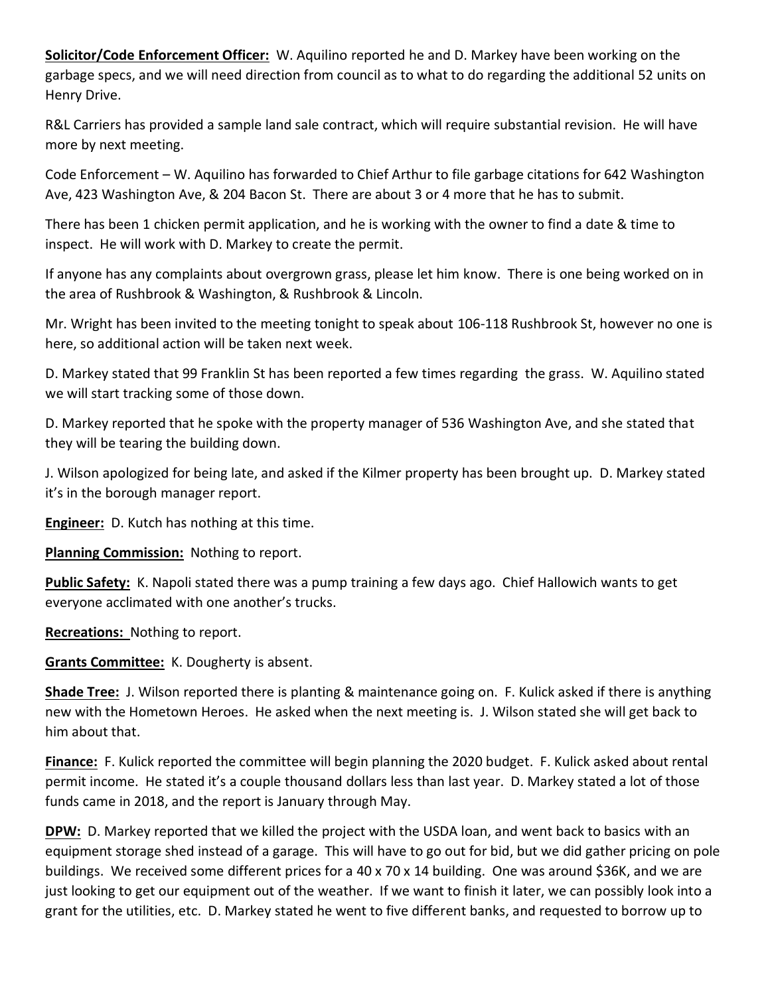**Solicitor/Code Enforcement Officer:** W. Aquilino reported he and D. Markey have been working on the garbage specs, and we will need direction from council as to what to do regarding the additional 52 units on Henry Drive.

R&L Carriers has provided a sample land sale contract, which will require substantial revision. He will have more by next meeting.

Code Enforcement – W. Aquilino has forwarded to Chief Arthur to file garbage citations for 642 Washington Ave, 423 Washington Ave, & 204 Bacon St. There are about 3 or 4 more that he has to submit.

There has been 1 chicken permit application, and he is working with the owner to find a date & time to inspect. He will work with D. Markey to create the permit.

If anyone has any complaints about overgrown grass, please let him know. There is one being worked on in the area of Rushbrook & Washington, & Rushbrook & Lincoln.

Mr. Wright has been invited to the meeting tonight to speak about 106-118 Rushbrook St, however no one is here, so additional action will be taken next week.

D. Markey stated that 99 Franklin St has been reported a few times regarding the grass. W. Aquilino stated we will start tracking some of those down.

D. Markey reported that he spoke with the property manager of 536 Washington Ave, and she stated that they will be tearing the building down.

J. Wilson apologized for being late, and asked if the Kilmer property has been brought up. D. Markey stated it's in the borough manager report.

**Engineer:** D. Kutch has nothing at this time.

**Planning Commission:** Nothing to report.

**Public Safety:** K. Napoli stated there was a pump training a few days ago. Chief Hallowich wants to get everyone acclimated with one another's trucks.

**Recreations:** Nothing to report.

**Grants Committee:** K. Dougherty is absent.

**Shade Tree:** J. Wilson reported there is planting & maintenance going on. F. Kulick asked if there is anything new with the Hometown Heroes. He asked when the next meeting is. J. Wilson stated she will get back to him about that.

**Finance:** F. Kulick reported the committee will begin planning the 2020 budget. F. Kulick asked about rental permit income. He stated it's a couple thousand dollars less than last year. D. Markey stated a lot of those funds came in 2018, and the report is January through May.

**DPW:** D. Markey reported that we killed the project with the USDA loan, and went back to basics with an equipment storage shed instead of a garage. This will have to go out for bid, but we did gather pricing on pole buildings. We received some different prices for a 40 x 70 x 14 building. One was around \$36K, and we are just looking to get our equipment out of the weather. If we want to finish it later, we can possibly look into a grant for the utilities, etc. D. Markey stated he went to five different banks, and requested to borrow up to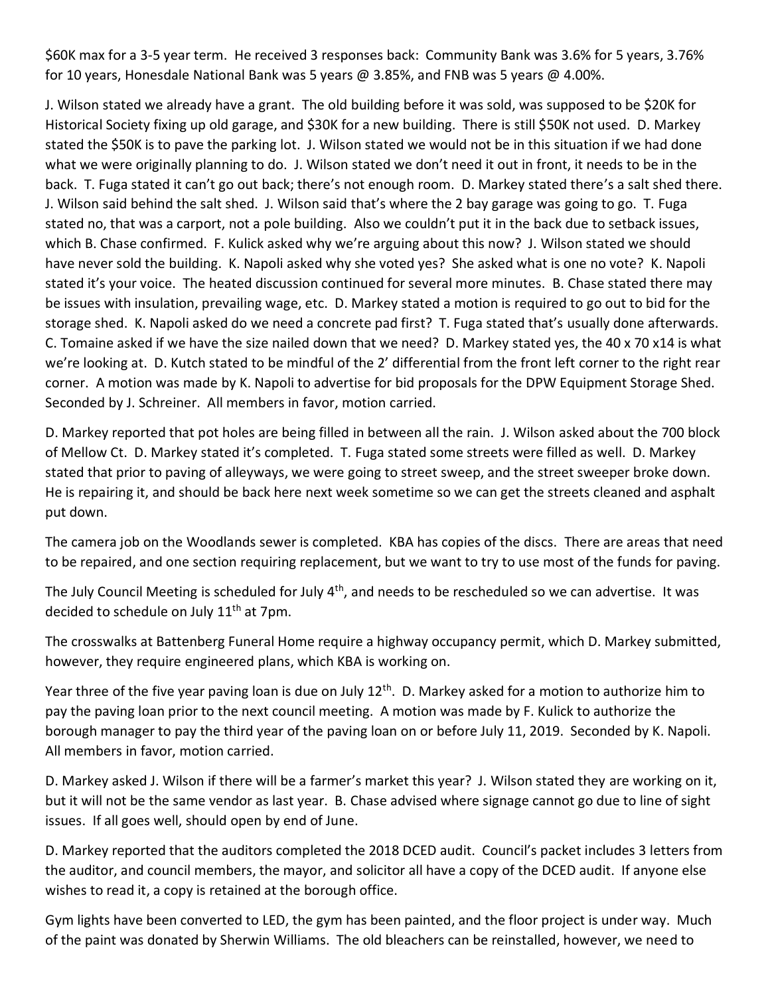\$60K max for a 3-5 year term. He received 3 responses back: Community Bank was 3.6% for 5 years, 3.76% for 10 years, Honesdale National Bank was 5 years @ 3.85%, and FNB was 5 years @ 4.00%.

J. Wilson stated we already have a grant. The old building before it was sold, was supposed to be \$20K for Historical Society fixing up old garage, and \$30K for a new building. There is still \$50K not used. D. Markey stated the \$50K is to pave the parking lot. J. Wilson stated we would not be in this situation if we had done what we were originally planning to do. J. Wilson stated we don't need it out in front, it needs to be in the back. T. Fuga stated it can't go out back; there's not enough room. D. Markey stated there's a salt shed there. J. Wilson said behind the salt shed. J. Wilson said that's where the 2 bay garage was going to go. T. Fuga stated no, that was a carport, not a pole building. Also we couldn't put it in the back due to setback issues, which B. Chase confirmed. F. Kulick asked why we're arguing about this now? J. Wilson stated we should have never sold the building. K. Napoli asked why she voted yes? She asked what is one no vote? K. Napoli stated it's your voice. The heated discussion continued for several more minutes. B. Chase stated there may be issues with insulation, prevailing wage, etc. D. Markey stated a motion is required to go out to bid for the storage shed. K. Napoli asked do we need a concrete pad first? T. Fuga stated that's usually done afterwards. C. Tomaine asked if we have the size nailed down that we need? D. Markey stated yes, the 40 x 70 x14 is what we're looking at. D. Kutch stated to be mindful of the 2' differential from the front left corner to the right rear corner. A motion was made by K. Napoli to advertise for bid proposals for the DPW Equipment Storage Shed. Seconded by J. Schreiner. All members in favor, motion carried.

D. Markey reported that pot holes are being filled in between all the rain. J. Wilson asked about the 700 block of Mellow Ct. D. Markey stated it's completed. T. Fuga stated some streets were filled as well. D. Markey stated that prior to paving of alleyways, we were going to street sweep, and the street sweeper broke down. He is repairing it, and should be back here next week sometime so we can get the streets cleaned and asphalt put down.

The camera job on the Woodlands sewer is completed. KBA has copies of the discs. There are areas that need to be repaired, and one section requiring replacement, but we want to try to use most of the funds for paving.

The July Council Meeting is scheduled for July 4<sup>th</sup>, and needs to be rescheduled so we can advertise. It was decided to schedule on July 11<sup>th</sup> at 7pm.

The crosswalks at Battenberg Funeral Home require a highway occupancy permit, which D. Markey submitted, however, they require engineered plans, which KBA is working on.

Year three of the five year paving loan is due on July 12<sup>th</sup>. D. Markey asked for a motion to authorize him to pay the paving loan prior to the next council meeting. A motion was made by F. Kulick to authorize the borough manager to pay the third year of the paving loan on or before July 11, 2019. Seconded by K. Napoli. All members in favor, motion carried.

D. Markey asked J. Wilson if there will be a farmer's market this year? J. Wilson stated they are working on it, but it will not be the same vendor as last year. B. Chase advised where signage cannot go due to line of sight issues. If all goes well, should open by end of June.

D. Markey reported that the auditors completed the 2018 DCED audit. Council's packet includes 3 letters from the auditor, and council members, the mayor, and solicitor all have a copy of the DCED audit. If anyone else wishes to read it, a copy is retained at the borough office.

Gym lights have been converted to LED, the gym has been painted, and the floor project is under way. Much of the paint was donated by Sherwin Williams. The old bleachers can be reinstalled, however, we need to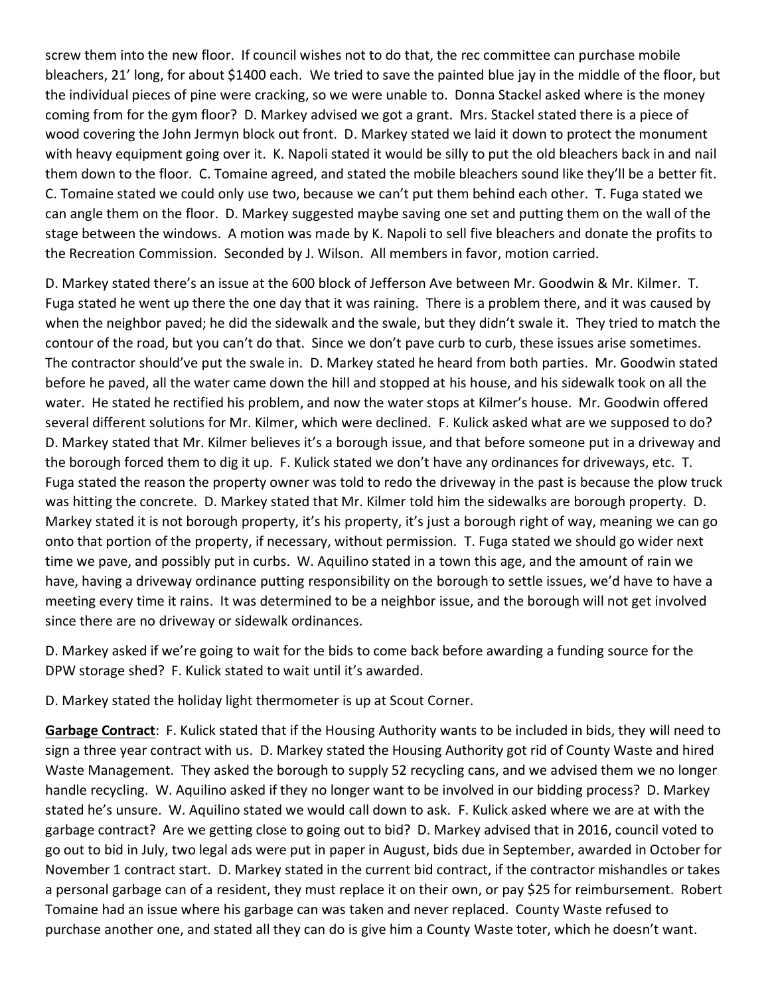screw them into the new floor. If council wishes not to do that, the rec committee can purchase mobile bleachers, 21' long, for about \$1400 each. We tried to save the painted blue jay in the middle of the floor, but the individual pieces of pine were cracking, so we were unable to. Donna Stackel asked where is the money coming from for the gym floor? D. Markey advised we got a grant. Mrs. Stackel stated there is a piece of wood covering the John Jermyn block out front. D. Markey stated we laid it down to protect the monument with heavy equipment going over it. K. Napoli stated it would be silly to put the old bleachers back in and nail them down to the floor. C. Tomaine agreed, and stated the mobile bleachers sound like they'll be a better fit. C. Tomaine stated we could only use two, because we can't put them behind each other. T. Fuga stated we can angle them on the floor. D. Markey suggested maybe saving one set and putting them on the wall of the stage between the windows. A motion was made by K. Napoli to sell five bleachers and donate the profits to the Recreation Commission. Seconded by J. Wilson. All members in favor, motion carried.

D. Markey stated there's an issue at the 600 block of Jefferson Ave between Mr. Goodwin & Mr. Kilmer. T. Fuga stated he went up there the one day that it was raining. There is a problem there, and it was caused by when the neighbor paved; he did the sidewalk and the swale, but they didn't swale it. They tried to match the contour of the road, but you can't do that. Since we don't pave curb to curb, these issues arise sometimes. The contractor should've put the swale in. D. Markey stated he heard from both parties. Mr. Goodwin stated before he paved, all the water came down the hill and stopped at his house, and his sidewalk took on all the water. He stated he rectified his problem, and now the water stops at Kilmer's house. Mr. Goodwin offered several different solutions for Mr. Kilmer, which were declined. F. Kulick asked what are we supposed to do? D. Markey stated that Mr. Kilmer believes it's a borough issue, and that before someone put in a driveway and the borough forced them to dig it up. F. Kulick stated we don't have any ordinances for driveways, etc. T. Fuga stated the reason the property owner was told to redo the driveway in the past is because the plow truck was hitting the concrete. D. Markey stated that Mr. Kilmer told him the sidewalks are borough property. D. Markey stated it is not borough property, it's his property, it's just a borough right of way, meaning we can go onto that portion of the property, if necessary, without permission. T. Fuga stated we should go wider next time we pave, and possibly put in curbs. W. Aquilino stated in a town this age, and the amount of rain we have, having a driveway ordinance putting responsibility on the borough to settle issues, we'd have to have a meeting every time it rains. It was determined to be a neighbor issue, and the borough will not get involved since there are no driveway or sidewalk ordinances.

D. Markey asked if we're going to wait for the bids to come back before awarding a funding source for the DPW storage shed? F. Kulick stated to wait until it's awarded.

D. Markey stated the holiday light thermometer is up at Scout Corner.

**Garbage Contract**: F. Kulick stated that if the Housing Authority wants to be included in bids, they will need to sign a three year contract with us. D. Markey stated the Housing Authority got rid of County Waste and hired Waste Management. They asked the borough to supply 52 recycling cans, and we advised them we no longer handle recycling. W. Aquilino asked if they no longer want to be involved in our bidding process? D. Markey stated he's unsure. W. Aquilino stated we would call down to ask. F. Kulick asked where we are at with the garbage contract? Are we getting close to going out to bid? D. Markey advised that in 2016, council voted to go out to bid in July, two legal ads were put in paper in August, bids due in September, awarded in October for November 1 contract start. D. Markey stated in the current bid contract, if the contractor mishandles or takes a personal garbage can of a resident, they must replace it on their own, or pay \$25 for reimbursement. Robert Tomaine had an issue where his garbage can was taken and never replaced. County Waste refused to purchase another one, and stated all they can do is give him a County Waste toter, which he doesn't want.